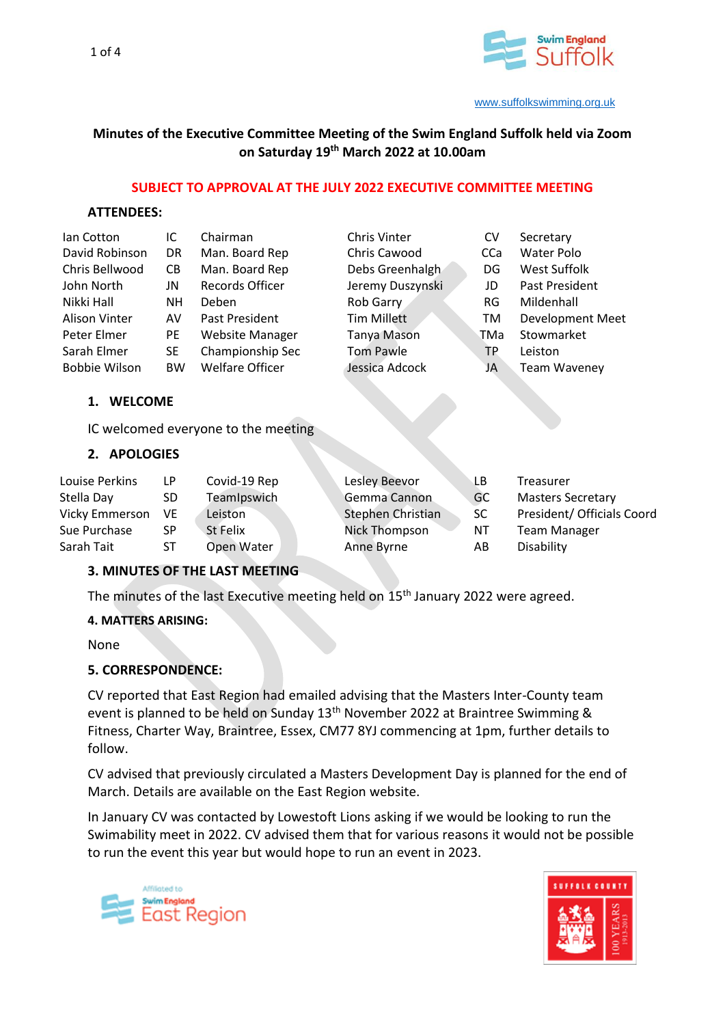

# **Minutes of the Executive Committee Meeting of the Swim England Suffolk held via Zoom on Saturday 19 th March 2022 at 10.00am**

### **SUBJECT TO APPROVAL AT THE JULY 2022 EXECUTIVE COMMITTEE MEETING**

### **ATTENDEES:**

| lan Cotton           | IC        | Chairman               | <b>Chris Vinter</b> | CV  | Secretary               |
|----------------------|-----------|------------------------|---------------------|-----|-------------------------|
| David Robinson       | <b>DR</b> | Man. Board Rep         | Chris Cawood        | CCa | Water Polo              |
| Chris Bellwood       | CВ        | Man. Board Rep         | Debs Greenhalgh     | DG  | West Suffolk            |
| John North           | JN        | Records Officer        | Jeremy Duszynski    | JD  | Past President          |
| Nikki Hall           | NΗ        | <b>Deben</b>           | Rob Garry           | RG  | Mildenhall              |
| <b>Alison Vinter</b> | AV        | Past President         | <b>Tim Millett</b>  | TM  | <b>Development Meet</b> |
| Peter Elmer          | <b>PE</b> | <b>Website Manager</b> | <b>Tanya Mason</b>  | TMa | Stowmarket              |
| Sarah Elmer          | <b>SE</b> | Championship Sec       | <b>Tom Pawle</b>    | ТP  | Leiston                 |
| <b>Bobbie Wilson</b> | <b>BW</b> | <b>Welfare Officer</b> | Jessica Adcock      | JA  | <b>Team Waveney</b>     |

### **1. WELCOME**

IC welcomed everyone to the meeting

### **2. APOLOGIES**

| Louise Perkins | LP. | Covid-19 Rep | Lesley Beevor        | LВ        | Treasurer                  |
|----------------|-----|--------------|----------------------|-----------|----------------------------|
| Stella Day     | SD. | TeamIpswich  | Gemma Cannon         | GC        | <b>Masters Secretary</b>   |
| Vicky Emmerson | VE. | Leiston      | Stephen Christian    | <b>SC</b> | President/ Officials Coord |
| Sue Purchase   | SP  | St Felix     | <b>Nick Thompson</b> | NT        | Team Manager               |
| Sarah Tait     | ST  | Open Water   | Anne Byrne           | AB        | Disability                 |

### **3. MINUTES OF THE LAST MEETING**

The minutes of the last Executive meeting held on 15<sup>th</sup> January 2022 were agreed.

### **4. MATTERS ARISING:**

None

### **5. CORRESPONDENCE:**

CV reported that East Region had emailed advising that the Masters Inter-County team event is planned to be held on Sunday 13<sup>th</sup> November 2022 at Braintree Swimming & Fitness, Charter Way, Braintree, Essex, CM77 8YJ commencing at 1pm, further details to follow.

CV advised that previously circulated a Masters Development Day is planned for the end of March. Details are available on the East Region website.

In January CV was contacted by Lowestoft Lions asking if we would be looking to run the Swimability meet in 2022. CV advised them that for various reasons it would not be possible to run the event this year but would hope to run an event in 2023.



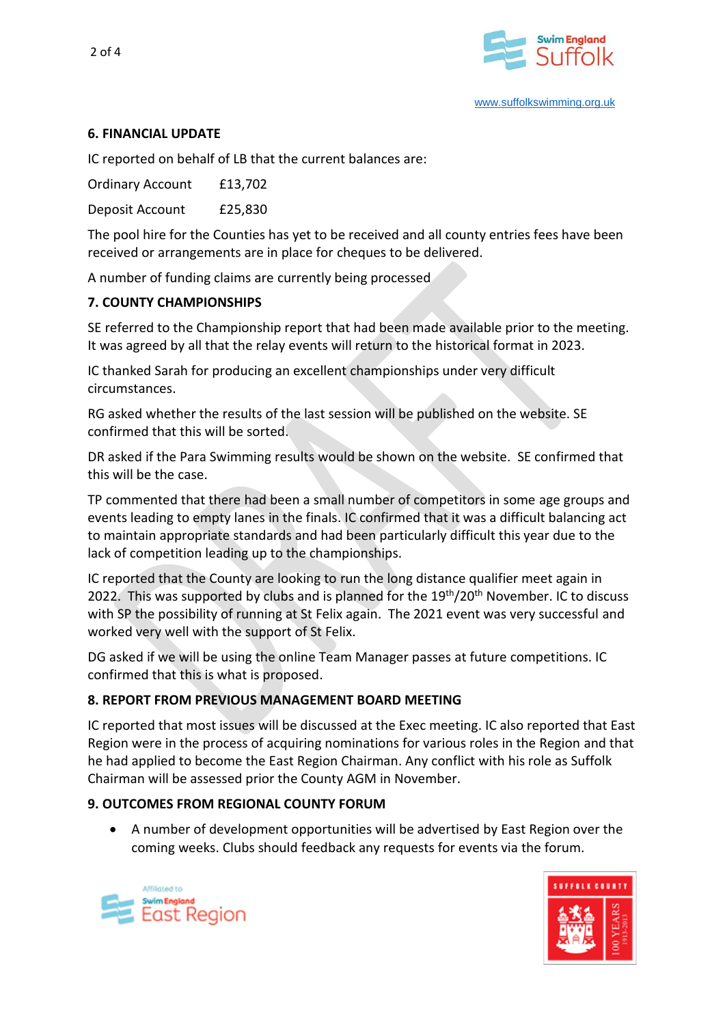

## **6. FINANCIAL UPDATE**

IC reported on behalf of LB that the current balances are:

Ordinary Account £13,702

Deposit Account £25,830

The pool hire for the Counties has yet to be received and all county entries fees have been received or arrangements are in place for cheques to be delivered.

A number of funding claims are currently being processed

#### **7. COUNTY CHAMPIONSHIPS**

SE referred to the Championship report that had been made available prior to the meeting. It was agreed by all that the relay events will return to the historical format in 2023.

IC thanked Sarah for producing an excellent championships under very difficult circumstances.

RG asked whether the results of the last session will be published on the website. SE confirmed that this will be sorted.

DR asked if the Para Swimming results would be shown on the website. SE confirmed that this will be the case.

TP commented that there had been a small number of competitors in some age groups and events leading to empty lanes in the finals. IC confirmed that it was a difficult balancing act to maintain appropriate standards and had been particularly difficult this year due to the lack of competition leading up to the championships.

IC reported that the County are looking to run the long distance qualifier meet again in 2022. This was supported by clubs and is planned for the 19<sup>th</sup>/20<sup>th</sup> November. IC to discuss with SP the possibility of running at St Felix again. The 2021 event was very successful and worked very well with the support of St Felix.

DG asked if we will be using the online Team Manager passes at future competitions. IC confirmed that this is what is proposed.

### **8. REPORT FROM PREVIOUS MANAGEMENT BOARD MEETING**

IC reported that most issues will be discussed at the Exec meeting. IC also reported that East Region were in the process of acquiring nominations for various roles in the Region and that he had applied to become the East Region Chairman. Any conflict with his role as Suffolk Chairman will be assessed prior the County AGM in November.

#### **9. OUTCOMES FROM REGIONAL COUNTY FORUM**

• A number of development opportunities will be advertised by East Region over the coming weeks. Clubs should feedback any requests for events via the forum.



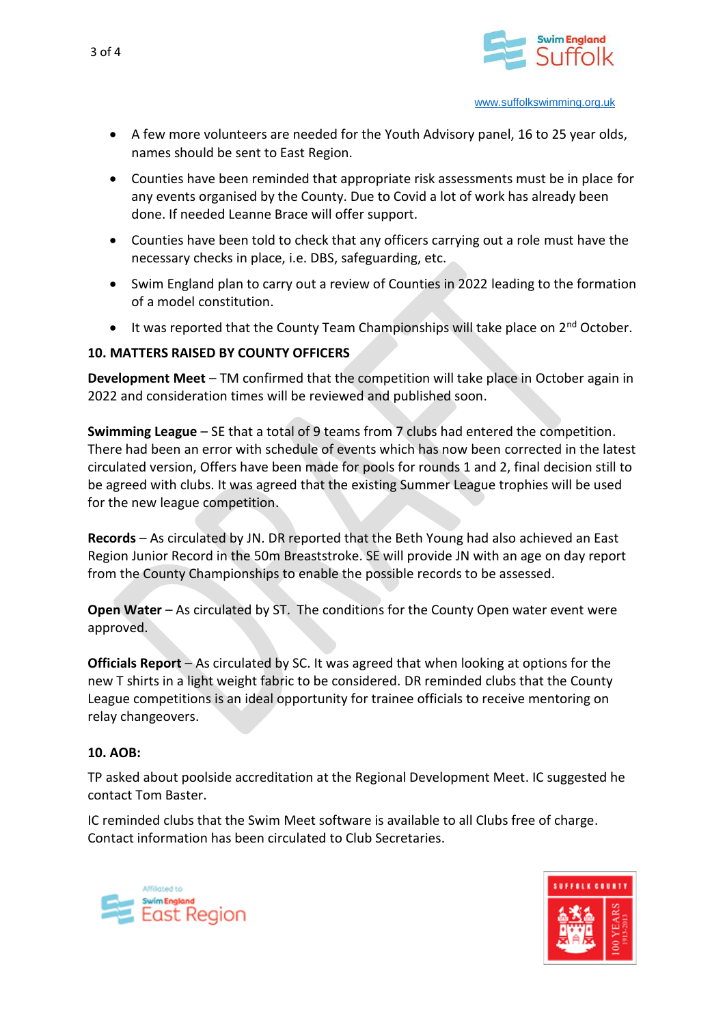

- A few more volunteers are needed for the Youth Advisory panel, 16 to 25 year olds, names should be sent to East Region.
- Counties have been reminded that appropriate risk assessments must be in place for any events organised by the County. Due to Covid a lot of work has already been done. If needed Leanne Brace will offer support.
- Counties have been told to check that any officers carrying out a role must have the necessary checks in place, i.e. DBS, safeguarding, etc.
- Swim England plan to carry out a review of Counties in 2022 leading to the formation of a model constitution.
- $\bullet$  It was reported that the County Team Championships will take place on  $2^{nd}$  October.

### **10. MATTERS RAISED BY COUNTY OFFICERS**

**Development Meet** – TM confirmed that the competition will take place in October again in 2022 and consideration times will be reviewed and published soon.

**Swimming League** – SE that a total of 9 teams from 7 clubs had entered the competition. There had been an error with schedule of events which has now been corrected in the latest circulated version, Offers have been made for pools for rounds 1 and 2, final decision still to be agreed with clubs. It was agreed that the existing Summer League trophies will be used for the new league competition.

**Records** – As circulated by JN. DR reported that the Beth Young had also achieved an East Region Junior Record in the 50m Breaststroke. SE will provide JN with an age on day report from the County Championships to enable the possible records to be assessed.

**Open Water** – As circulated by ST. The conditions for the County Open water event were approved.

**Officials Report** – As circulated by SC. It was agreed that when looking at options for the new T shirts in a light weight fabric to be considered. DR reminded clubs that the County League competitions is an ideal opportunity for trainee officials to receive mentoring on relay changeovers.

### **10. AOB:**

TP asked about poolside accreditation at the Regional Development Meet. IC suggested he contact Tom Baster.

IC reminded clubs that the Swim Meet software is available to all Clubs free of charge. Contact information has been circulated to Club Secretaries.